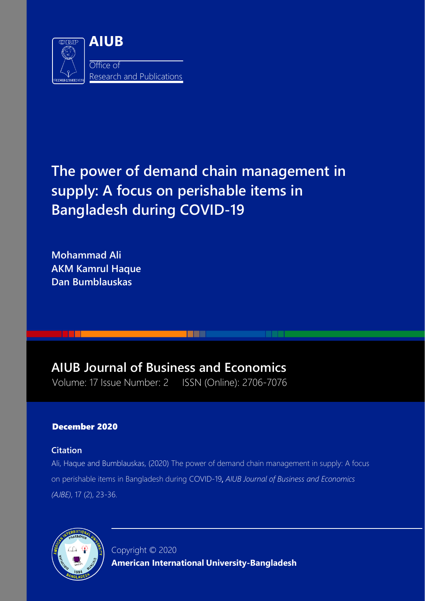

# **The power of demand chain management in supply: A focus on perishable items in Bangladesh during COVID-19**

**TELEVISION** 

**Mohammad Ali AKM Kamrul Haque Dan Bumblauskas**

# **AIUB Journal of Business and Economics**

Volume: 17 Issue Number: 2 ISSN (Online): 2706-7076

# December 2020

# **Citation**

Ali, Haque and Bumblauskas, (2020) The power of demand chain management in supply: A focus on perishable items in Bangladesh during COVID-19, *AIUB Journal of Business and Economics (AJBE)*, 17 (2), 23-36.



Copyright © 2020 **American International University-Bangladesh**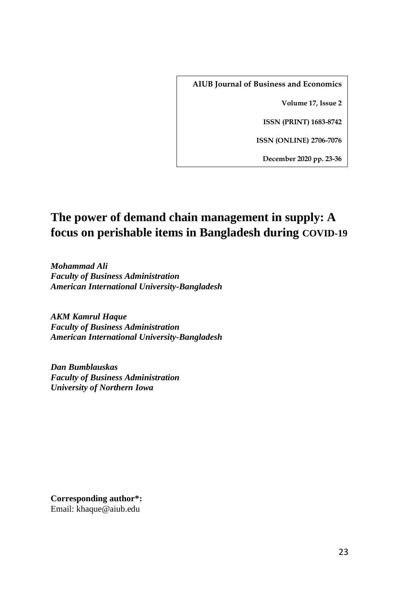**AIUB Journal of Business and Economics**

**Volume 17, Issue 2**

**ISSN (PRINT) 1683-8742**

**ISSN (ONLINE) 2706-7076**

**December 2020 pp. 23-36**

# **The power of demand chain management in supply: A focus on perishable items in Bangladesh during COVID-19**

*Mohammad Ali Faculty of Business Administration American International University-Bangladesh*

*AKM Kamrul Haque Faculty of Business Administration American International University-Bangladesh*

*Dan Bumblauskas Faculty of Business Administration University of Northern Iowa*

**Corresponding author\*:**  Email: khaque@aiub.edu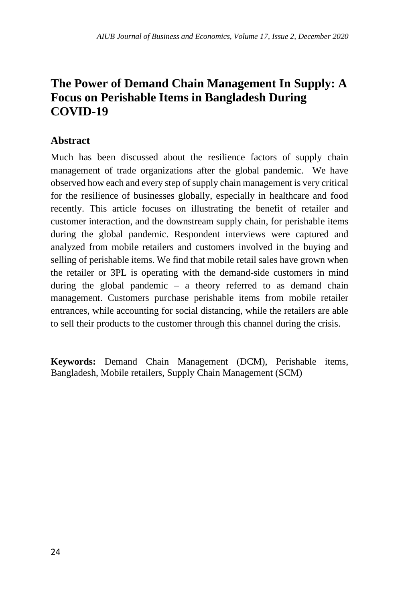# **The Power of Demand Chain Management In Supply: A Focus on Perishable Items in Bangladesh During COVID-19**

## **Abstract**

Much has been discussed about the resilience factors of supply chain management of trade organizations after the global pandemic. We have observed how each and every step of supply chain management is very critical for the resilience of businesses globally, especially in healthcare and food recently. This article focuses on illustrating the benefit of retailer and customer interaction, and the downstream supply chain, for perishable items during the global pandemic. Respondent interviews were captured and analyzed from mobile retailers and customers involved in the buying and selling of perishable items. We find that mobile retail sales have grown when the retailer or 3PL is operating with the demand-side customers in mind during the global pandemic – a theory referred to as demand chain management. Customers purchase perishable items from mobile retailer entrances, while accounting for social distancing, while the retailers are able to sell their products to the customer through this channel during the crisis.

**Keywords:** Demand Chain Management (DCM), Perishable items, Bangladesh, Mobile retailers, Supply Chain Management (SCM)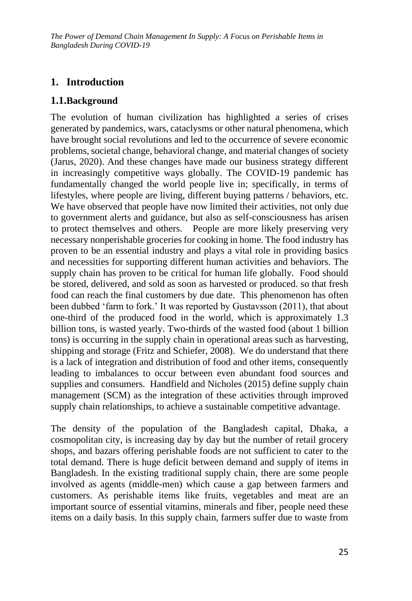# **1. Introduction**

#### **1.1.Background**

The evolution of human civilization has highlighted a series of crises generated by pandemics, wars, cataclysms or other natural phenomena, which have brought social revolutions and led to the occurrence of severe economic problems, societal change, behavioral change, and material changes of society (Jarus, 2020). And these changes have made our business strategy different in increasingly competitive ways globally. The COVID-19 pandemic has fundamentally changed the world people live in; specifically, in terms of lifestyles, where people are living, different buying patterns / behaviors, etc. We have observed that people have now limited their activities, not only due to government alerts and guidance, but also as self-consciousness has arisen to protect themselves and others. People are more likely preserving very necessary nonperishable groceries for cooking in home. The food industry has proven to be an essential industry and plays a vital role in providing basics and necessities for supporting different human activities and behaviors. The supply chain has proven to be critical for human life globally. Food should be stored, delivered, and sold as soon as harvested or produced. so that fresh food can reach the final customers by due date. This phenomenon has often been dubbed 'farm to fork.' It was reported by Gustavsson (2011), that about one-third of the produced food in the world, which is approximately 1.3 billion tons, is wasted yearly. Two-thirds of the wasted food (about 1 billion tons) is occurring in the supply chain in operational areas such as harvesting, shipping and storage (Fritz and Schiefer, 2008). We do understand that there is a lack of integration and distribution of food and other items, consequently leading to imbalances to occur between even abundant food sources and supplies and consumers. Handfield and Nicholes (2015) define supply chain management (SCM) as the integration of these activities through improved supply chain relationships, to achieve a sustainable competitive advantage.

The density of the population of the Bangladesh capital, Dhaka, a cosmopolitan city, is increasing day by day but the number of retail grocery shops, and bazars offering perishable foods are not sufficient to cater to the total demand. There is huge deficit between demand and supply of items in Bangladesh. In the existing traditional supply chain, there are some people involved as agents (middle-men) which cause a gap between farmers and customers. As perishable items like fruits, vegetables and meat are an important source of essential vitamins, minerals and fiber, people need these items on a daily basis. In this supply chain, farmers suffer due to waste from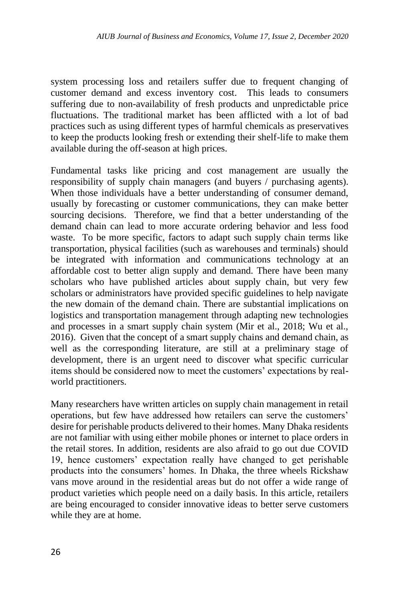system processing loss and retailers suffer due to frequent changing of customer demand and excess inventory cost. This leads to consumers suffering due to non-availability of fresh products and unpredictable price fluctuations. The traditional market has been afflicted with a lot of bad practices such as using different types of harmful chemicals as preservatives to keep the products looking fresh or extending their shelf-life to make them available during the off-season at high prices.

Fundamental tasks like pricing and cost management are usually the responsibility of supply chain managers (and buyers / purchasing agents). When those individuals have a better understanding of consumer demand, usually by forecasting or customer communications, they can make better sourcing decisions. Therefore, we find that a better understanding of the demand chain can lead to more accurate ordering behavior and less food waste. To be more specific, factors to adapt such supply chain terms like transportation, physical facilities (such as warehouses and terminals) should be integrated with information and communications technology at an affordable cost to better align supply and demand. There have been many scholars who have published articles about supply chain, but very few scholars or administrators have provided specific guidelines to help navigate the new domain of the demand chain. There are substantial implications on logistics and transportation management through adapting new technologies and processes in a smart supply chain system (Mir et al., 2018; Wu et al., 2016). Given that the concept of a smart supply chains and demand chain, as well as the corresponding literature, are still at a preliminary stage of development, there is an urgent need to discover what specific curricular items should be considered now to meet the customers' expectations by realworld practitioners.

Many researchers have written articles on supply chain management in retail operations, but few have addressed how retailers can serve the customers' desire for perishable products delivered to their homes. Many Dhaka residents are not familiar with using either mobile phones or internet to place orders in the retail stores. In addition, residents are also afraid to go out due COVID 19, hence customers' expectation really have changed to get perishable products into the consumers' homes. In Dhaka, the three wheels Rickshaw vans move around in the residential areas but do not offer a wide range of product varieties which people need on a daily basis. In this article, retailers are being encouraged to consider innovative ideas to better serve customers while they are at home.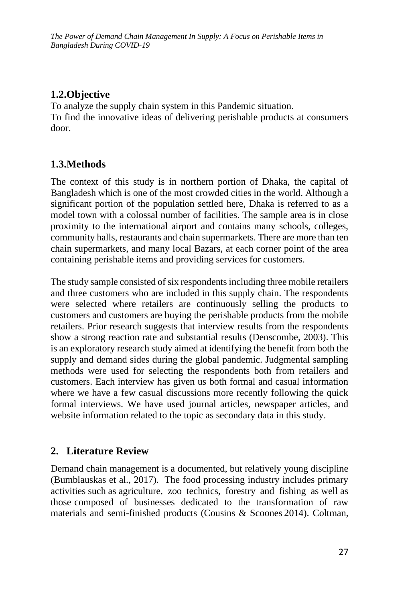## **1.2.Objective**

To analyze the supply chain system in this Pandemic situation. To find the innovative ideas of delivering perishable products at consumers door.

### **1.3.Methods**

The context of this study is in northern portion of Dhaka, the capital of Bangladesh which is one of the most crowded cities in the world. Although a significant portion of the population settled here, Dhaka is referred to as a model town with a colossal number of facilities. The sample area is in close proximity to the international airport and contains many schools, colleges, community halls, restaurants and chain supermarkets. There are more than ten chain supermarkets, and many local Bazars, at each corner point of the area containing perishable items and providing services for customers.

The study sample consisted of six respondents including three mobile retailers and three customers who are included in this supply chain. The respondents were selected where retailers are continuously selling the products to customers and customers are buying the perishable products from the mobile retailers. Prior research suggests that interview results from the respondents show a strong reaction rate and substantial results (Denscombe, 2003). This is an exploratory research study aimed at identifying the benefit from both the supply and demand sides during the global pandemic. Judgmental sampling methods were used for selecting the respondents both from retailers and customers. Each interview has given us both formal and casual information where we have a few casual discussions more recently following the quick formal interviews. We have used journal articles, newspaper articles, and website information related to the topic as secondary data in this study.

#### **2. Literature Review**

Demand chain management is a documented, but relatively young discipline (Bumblauskas et al., 2017). The food processing industry includes primary activities such as agriculture, zoo technics, forestry and fishing as well as those composed of businesses dedicated to the transformation of raw materials and semi-finished products (Cousins & Scoones 2014). Coltman,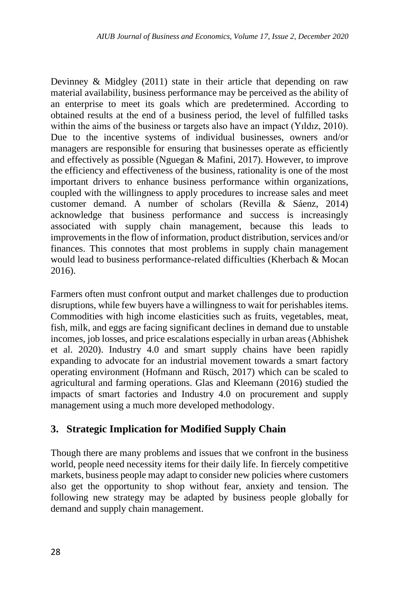Devinney & Midgley (2011) state in their article that depending on raw material availability, business performance may be perceived as the ability of an enterprise to meet its goals which are predetermined. According to obtained results at the end of a business period, the level of fulfilled tasks within the aims of the business or targets also have an impact (Yıldız, 2010). Due to the incentive systems of individual businesses, owners and/or managers are responsible for ensuring that businesses operate as efficiently and effectively as possible (Nguegan & Mafini, 2017). However, to improve the efficiency and effectiveness of the business, rationality is one of the most important drivers to enhance business performance within organizations, coupled with the willingness to apply procedures to increase sales and meet customer demand. A number of scholars (Revilla & Sáenz, 2014) acknowledge that business performance and success is increasingly associated with supply chain management, because this leads to improvements in the flow of information, product distribution, services and/or finances. This connotes that most problems in supply chain management would lead to business performance-related difficulties (Kherbach & Mocan 2016).

Farmers often must confront output and market challenges due to production disruptions, while few buyers have a willingness to wait for perishables items. Commodities with high income elasticities such as fruits, vegetables, meat, fish, milk, and eggs are facing significant declines in demand due to unstable incomes, job losses, and price escalations especially in urban areas (Abhishek et al. 2020). Industry 4.0 and smart supply chains have been rapidly expanding to advocate for an industrial movement towards a smart factory operating environment (Hofmann and Rüsch, 2017) which can be scaled to agricultural and farming operations. Glas and Kleemann (2016) studied the impacts of smart factories and Industry 4.0 on procurement and supply management using a much more developed methodology.

#### **3. Strategic Implication for Modified Supply Chain**

Though there are many problems and issues that we confront in the business world, people need necessity items for their daily life. In fiercely competitive markets, business people may adapt to consider new policies where customers also get the opportunity to shop without fear, anxiety and tension. The following new strategy may be adapted by business people globally for demand and supply chain management.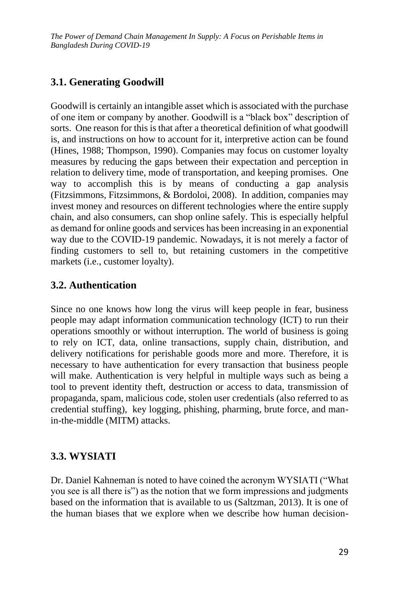# **3.1. Generating Goodwill**

Goodwill is certainly an intangible asset which is associated with the purchase of one item or company by another. Goodwill is a "black box" description of sorts. One reason for this is that after a theoretical definition of what goodwill is, and instructions on how to account for it, interpretive action can be found (Hines, 1988; Thompson, 1990). Companies may focus on customer loyalty measures by reducing the gaps between their expectation and perception in relation to delivery time, mode of transportation, and keeping promises. One way to accomplish this is by means of conducting a gap analysis (Fitzsimmons, Fitzsimmons, & Bordoloi, 2008). In addition, companies may invest money and resources on different technologies where the entire supply chain, and also consumers, can shop online safely. This is especially helpful as demand for online goods and services has been increasing in an exponential way due to the COVID-19 pandemic. Nowadays, it is not merely a factor of finding customers to sell to, but retaining customers in the competitive markets (i.e., customer loyalty).

### **3.2. Authentication**

Since no one knows how long the virus will keep people in fear, business people may adapt information communication technology (ICT) to run their operations smoothly or without interruption. The world of business is going to rely on ICT, data, online transactions, supply chain, distribution, and delivery notifications for perishable goods more and more. Therefore, it is necessary to have authentication for every transaction that business people will make. Authentication is very helpful in multiple ways such as being a tool to prevent identity theft, destruction or access to data, transmission of propaganda, spam, malicious code, stolen user credentials (also referred to as credential stuffing), key logging, phishing, pharming, brute force, and manin-the-middle (MITM) attacks.

#### **3.3. WYSIATI**

Dr. Daniel Kahneman is noted to have coined the acronym WYSIATI ("What you see is all there is") as the notion that we form impressions and judgments based on the information that is available to us (Saltzman, 2013). It is one of the human biases that we explore when we describe how human decision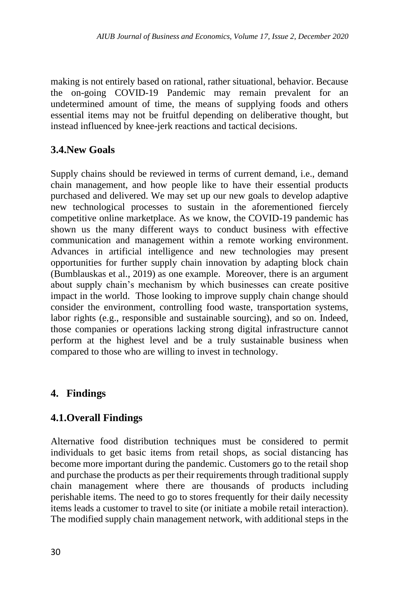making is not entirely based on rational, rather situational, behavior. Because the on-going COVID-19 Pandemic may remain prevalent for an undetermined amount of time, the means of supplying foods and others essential items may not be fruitful depending on deliberative thought, but instead influenced by knee-jerk reactions and tactical decisions.

# **3.4.New Goals**

Supply chains should be reviewed in terms of current demand, i.e., demand chain management, and how people like to have their essential products purchased and delivered. We may set up our new goals to develop adaptive new technological processes to sustain in the aforementioned fiercely competitive online marketplace. As we know, the COVID-19 pandemic has shown us the many different ways to conduct business with effective communication and management within a remote working environment. Advances in artificial intelligence and new technologies may present opportunities for further supply chain innovation by adapting block chain (Bumblauskas et al., 2019) as one example. Moreover, there is an argument about supply chain's mechanism by which businesses can create positive impact in the world. Those looking to improve supply chain change should consider the environment, controlling food waste, transportation systems, labor rights (e.g., responsible and sustainable sourcing), and so on. Indeed, those companies or operations lacking strong digital infrastructure cannot perform at the highest level and be a truly sustainable business when compared to those who are willing to invest in technology.

# **4. Findings**

# **4.1.Overall Findings**

Alternative food distribution techniques must be considered to permit individuals to get basic items from retail shops, as social distancing has become more important during the pandemic. Customers go to the retail shop and purchase the products as per their requirements through traditional supply chain management where there are thousands of products including perishable items. The need to go to stores frequently for their daily necessity items leads a customer to travel to site (or initiate a mobile retail interaction). The modified supply chain management network, with additional steps in the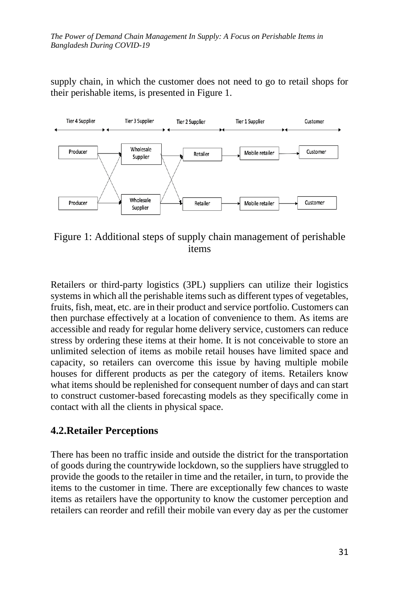supply chain, in which the customer does not need to go to retail shops for their perishable items, is presented in Figure 1.



Figure 1: Additional steps of supply chain management of perishable items

Retailers or third-party logistics (3PL) suppliers can utilize their logistics systems in which all the perishable items such as different types of vegetables, fruits, fish, meat, etc. are in their product and service portfolio. Customers can then purchase effectively at a location of convenience to them. As items are accessible and ready for regular home delivery service, customers can reduce stress by ordering these items at their home. It is not conceivable to store an unlimited selection of items as mobile retail houses have limited space and capacity, so retailers can overcome this issue by having multiple mobile houses for different products as per the category of items. Retailers know what items should be replenished for consequent number of days and can start to construct customer-based forecasting models as they specifically come in contact with all the clients in physical space.

#### **4.2.Retailer Perceptions**

There has been no traffic inside and outside the district for the transportation of goods during the countrywide lockdown, so the suppliers have struggled to provide the goods to the retailer in time and the retailer, in turn, to provide the items to the customer in time. There are exceptionally few chances to waste items as retailers have the opportunity to know the customer perception and retailers can reorder and refill their mobile van every day as per the customer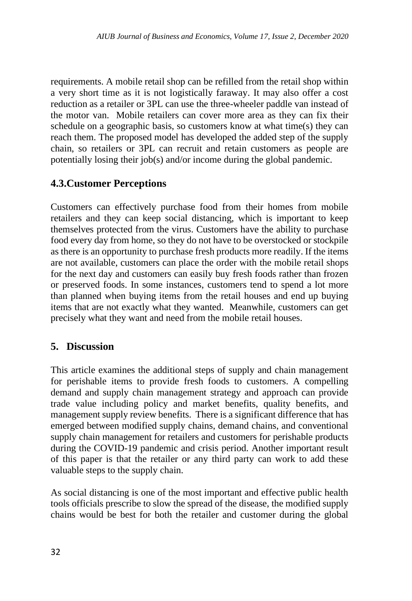requirements. A mobile retail shop can be refilled from the retail shop within a very short time as it is not logistically faraway. It may also offer a cost reduction as a retailer or 3PL can use the three-wheeler paddle van instead of the motor van. Mobile retailers can cover more area as they can fix their schedule on a geographic basis, so customers know at what time(s) they can reach them. The proposed model has developed the added step of the supply chain, so retailers or 3PL can recruit and retain customers as people are potentially losing their job(s) and/or income during the global pandemic.

### **4.3.Customer Perceptions**

Customers can effectively purchase food from their homes from mobile retailers and they can keep social distancing, which is important to keep themselves protected from the virus. Customers have the ability to purchase food every day from home, so they do not have to be overstocked or stockpile as there is an opportunity to purchase fresh products more readily. If the items are not available, customers can place the order with the mobile retail shops for the next day and customers can easily buy fresh foods rather than frozen or preserved foods. In some instances, customers tend to spend a lot more than planned when buying items from the retail houses and end up buying items that are not exactly what they wanted. Meanwhile, customers can get precisely what they want and need from the mobile retail houses.

#### **5. Discussion**

This article examines the additional steps of supply and chain management for perishable items to provide fresh foods to customers. A compelling demand and supply chain management strategy and approach can provide trade value including policy and market benefits, quality benefits, and management supply review benefits. There is a significant difference that has emerged between modified supply chains, demand chains, and conventional supply chain management for retailers and customers for perishable products during the COVID-19 pandemic and crisis period. Another important result of this paper is that the retailer or any third party can work to add these valuable steps to the supply chain.

As social distancing is one of the most important and effective public health tools officials prescribe to slow the spread of the disease, the modified supply chains would be best for both the retailer and customer during the global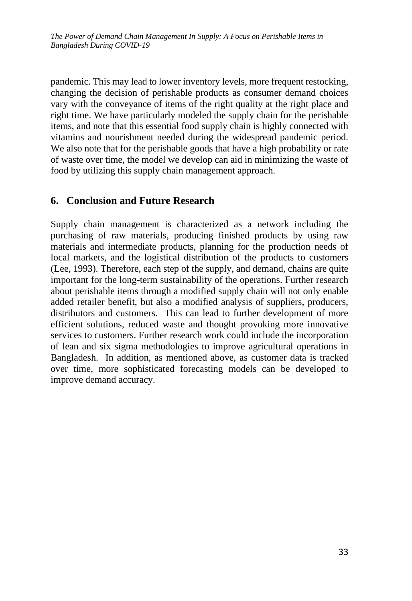pandemic. This may lead to lower inventory levels, more frequent restocking, changing the decision of perishable products as consumer demand choices vary with the conveyance of items of the right quality at the right place and right time. We have particularly modeled the supply chain for the perishable items, and note that this essential food supply chain is highly connected with vitamins and nourishment needed during the widespread pandemic period. We also note that for the perishable goods that have a high probability or rate of waste over time, the model we develop can aid in minimizing the waste of food by utilizing this supply chain management approach.

#### **6. Conclusion and Future Research**

Supply chain management is characterized as a network including the purchasing of raw materials, producing finished products by using raw materials and intermediate products, planning for the production needs of local markets, and the logistical distribution of the products to customers (Lee, 1993). Therefore, each step of the supply, and demand, chains are quite important for the long-term sustainability of the operations. Further research about perishable items through a modified supply chain will not only enable added retailer benefit, but also a modified analysis of suppliers, producers, distributors and customers. This can lead to further development of more efficient solutions, reduced waste and thought provoking more innovative services to customers. Further research work could include the incorporation of lean and six sigma methodologies to improve agricultural operations in Bangladesh. In addition, as mentioned above, as customer data is tracked over time, more sophisticated forecasting models can be developed to improve demand accuracy.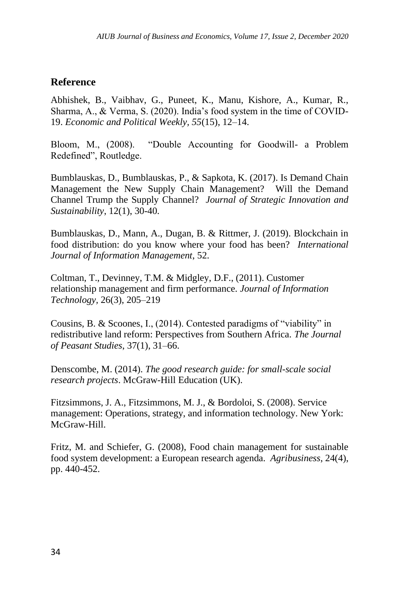## **Reference**

Abhishek, B., Vaibhav, G., Puneet, K., Manu, Kishore, A., Kumar, R., Sharma, A., & Verma, S. (2020). India's food system in the time of COVID-19. *Economic and Political Weekly, 55*(15), 12–14.

Bloom, M., (2008). "Double Accounting for Goodwill- a Problem Redefined", Routledge.

Bumblauskas, D., Bumblauskas, P., & Sapkota, K. (2017). Is Demand Chain Management the New Supply Chain Management? Will the Demand Channel Trump the Supply Channel? *Journal of Strategic Innovation and Sustainability*, 12(1), 30-40.

Bumblauskas, D., Mann, A., Dugan, B. & Rittmer, J. (2019). Blockchain in food distribution: do you know where your food has been? *International Journal of Information Management*, 52.

Coltman, T., Devinney, T.M. & Midgley, D.F., (2011). Customer relationship management and firm performance. *Journal of Information Technology,* 26(3), 205–219

Cousins, B. & Scoones, I., (2014). Contested paradigms of "viability" in redistributive land reform: Perspectives from Southern Africa. *The Journal of Peasant Studies*, 37(1), 31–66.

Denscombe, M. (2014). *The good research guide: for small-scale social research projects*. McGraw-Hill Education (UK).

Fitzsimmons, J. A., Fitzsimmons, M. J., & Bordoloi, S. (2008). Service management: Operations, strategy, and information technology. New York: McGraw-Hill.

Fritz, M. and Schiefer, G. (2008), Food chain management for sustainable food system development: a European research agenda. *Agribusiness*, 24(4), pp. 440-452.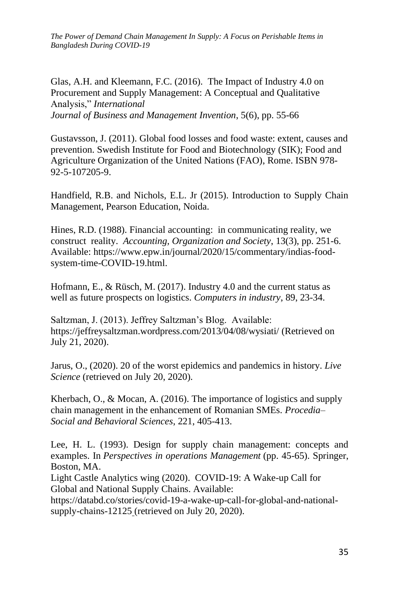*The Power of Demand Chain Management In Supply: A Focus on Perishable Items in Bangladesh During COVID-19*

Glas, A.H. and Kleemann, F.C. (2016). The Impact of Industry 4.0 on Procurement and Supply Management: A Conceptual and Qualitative Analysis," *International Journal of Business and Management Invention*, 5(6), pp. 55-66

Gustavsson, J. (2011). Global food losses and food waste: extent, causes and prevention. Swedish Institute for Food and Biotechnology (SIK); Food and Agriculture Organization of the United Nations (FAO), Rome. ISBN 978- 92-5-107205-9.

Handfield, R.B. and Nichols, E.L. Jr (2015). Introduction to Supply Chain Management, Pearson Education, Noida.

Hines, R.D. (1988). Financial accounting: in communicating reality, we construct reality. *Accounting, Organization and Society*, 13(3), pp. 251-6. Available: [https://www.epw.in/journal/2020/15/commentary/indias-food](https://www.epw.in/journal/2020/15/commentary/indias-food-system-time-COVID-19.html)[system-time-COVID-19.html.](https://www.epw.in/journal/2020/15/commentary/indias-food-system-time-COVID-19.html)

Hofmann, E., & Rüsch, M. (2017). Industry 4.0 and the current status as well as future prospects on logistics. *Computers in industry*, 89, 23-34.

Saltzman, J. (2013). Jeffrey Saltzman's Blog. Available: https://jeffreysaltzman.wordpress.com/2013/04/08/wysiati/ (Retrieved on July 21, 2020).

Jarus, O., (2020). 20 of the worst epidemics and pandemics in history. *Live Science* (retrieved on July 20, 2020).

Kherbach, O., & Mocan, A. (2016). The importance of logistics and supply chain management in the enhancement of Romanian SMEs. *Procedia– Social and Behavioral Sciences*, 221, 405-413.

Lee, H. L. (1993). Design for supply chain management: concepts and examples. In *Perspectives in operations Management* (pp. 45-65). Springer, Boston, MA.

Light Castle Analytics wing (2020). COVID-19: A Wake-up Call for Global and National Supply Chains. Available:

https://databd.co/stories/covid-19-a-wake-up-call-for-global-and-nationalsupply-chains-12125 (retrieved on July 20, 2020).